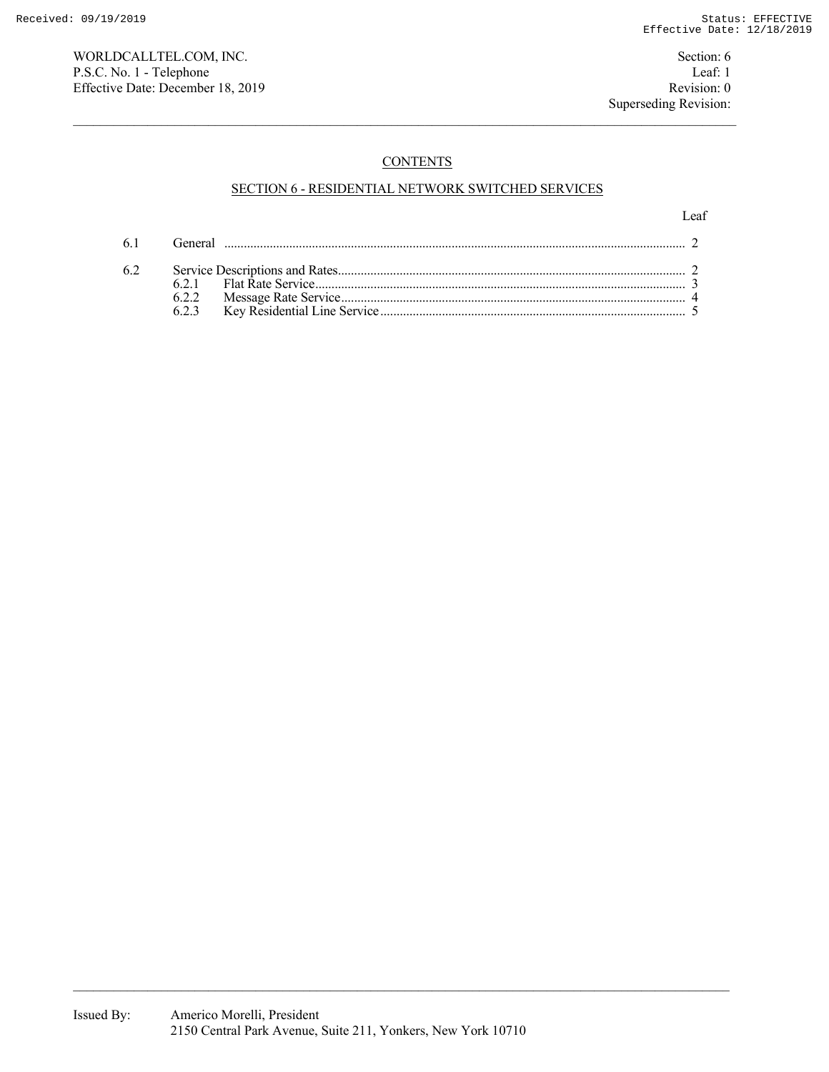WORLDCALLTEL.COM, INC. Section: 6 P.S.C. No. 1 - Telephone Leaf: 1<br>
Effective Date: December 18, 2019 Revision: 0 Effective Date: December 18, 2019

# **CONTENTS**

## SECTION 6 - RESIDENTIAL NETWORK SWITCHED SERVICES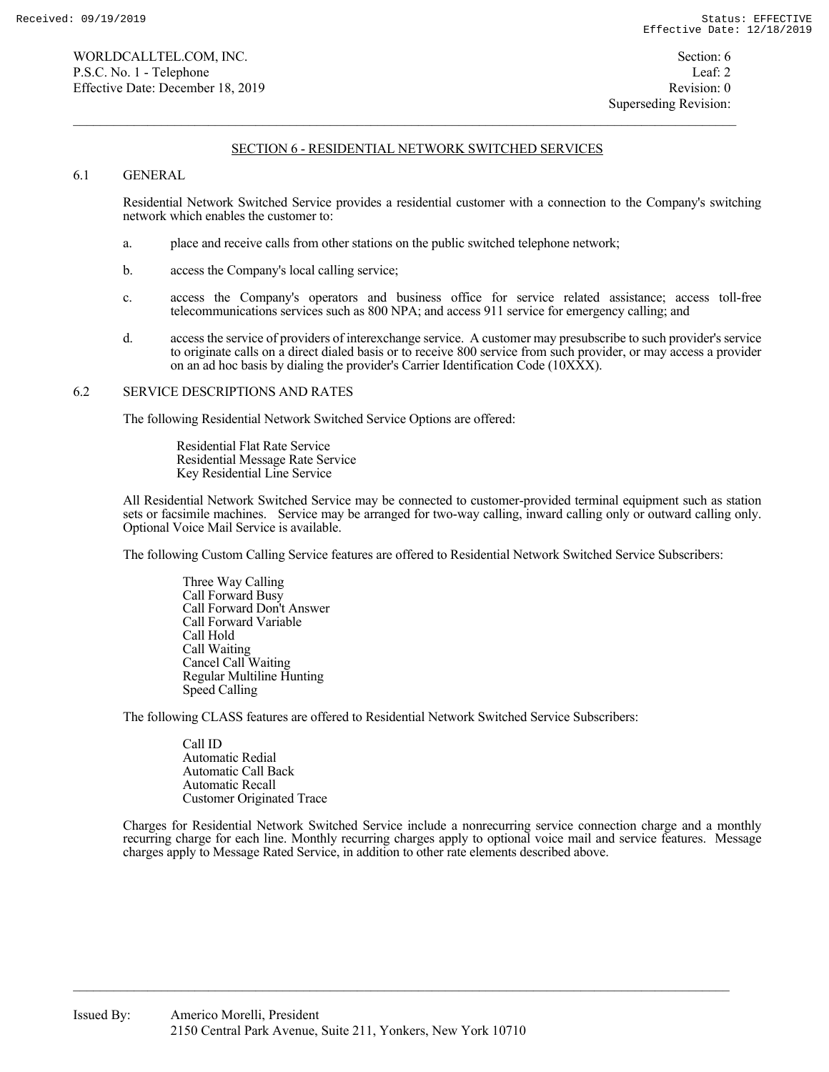### 6.1 GENERAL

 Residential Network Switched Service provides a residential customer with a connection to the Company's switching network which enables the customer to:

- a. place and receive calls from other stations on the public switched telephone network;
- b. access the Company's local calling service;
- c. access the Company's operators and business office for service related assistance; access toll-free telecommunications services such as 800 NPA; and access 911 service for emergency calling; and
- d. access the service of providers of interexchange service. A customer may presubscribe to such provider's service to originate calls on a direct dialed basis or to receive 800 service from such provider, or may access a provider on an ad hoc basis by dialing the provider's Carrier Identification Code (10XXX).

#### 6.2 SERVICE DESCRIPTIONS AND RATES

The following Residential Network Switched Service Options are offered:

 Residential Flat Rate Service Residential Message Rate Service Key Residential Line Service

 All Residential Network Switched Service may be connected to customer-provided terminal equipment such as station sets or facsimile machines. Service may be arranged for two-way calling, inward calling only or outward calling only. Optional Voice Mail Service is available.

The following Custom Calling Service features are offered to Residential Network Switched Service Subscribers:

 Three Way Calling Call Forward Busy Call Forward Don't Answer Call Forward Variable Call Hold Call Waiting Cancel Call Waiting Regular Multiline Hunting Speed Calling

The following CLASS features are offered to Residential Network Switched Service Subscribers:

 Call ID Automatic Redial Automatic Call Back Automatic Recall Customer Originated Trace

 Charges for Residential Network Switched Service include a nonrecurring service connection charge and a monthly recurring charge for each line. Monthly recurring charges apply to optional voice mail and service features. Message charges apply to Message Rated Service, in addition to other rate elements described above.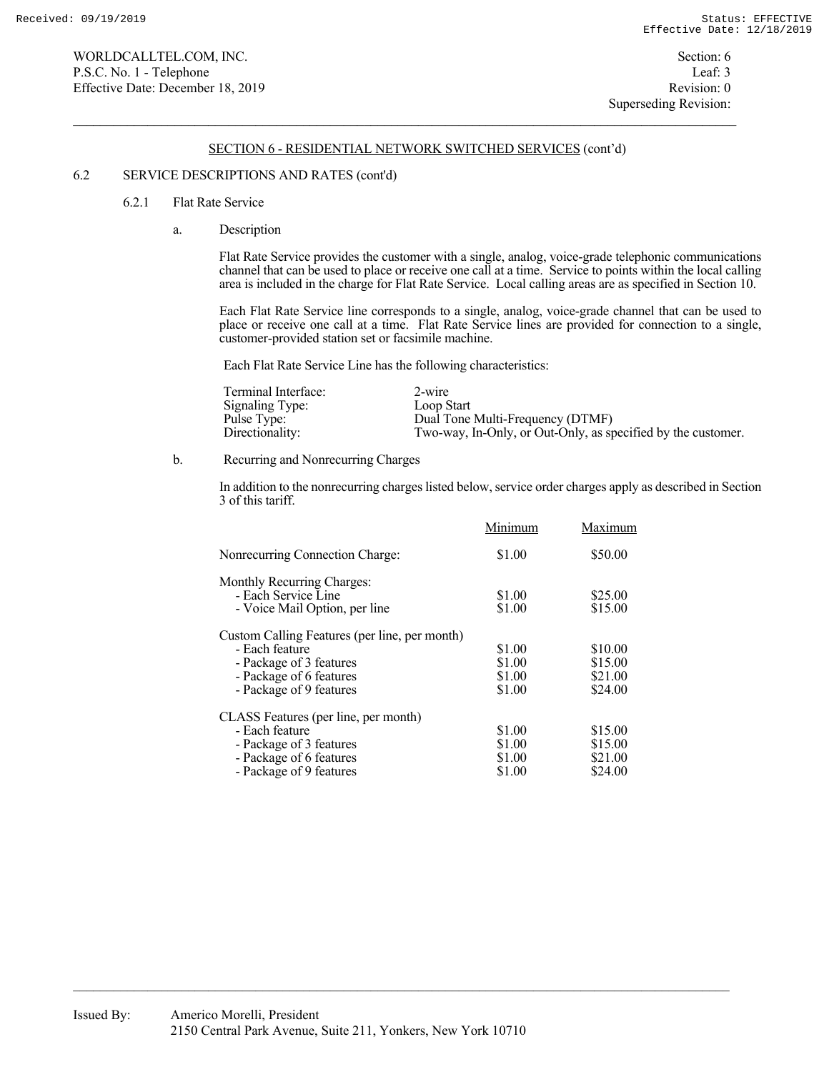### 6.2 SERVICE DESCRIPTIONS AND RATES (cont'd)

#### 6.2.1 Flat Rate Service

a. Description

 Flat Rate Service provides the customer with a single, analog, voice-grade telephonic communications channel that can be used to place or receive one call at a time. Service to points within the local calling area is included in the charge for Flat Rate Service. Local calling areas are as specified in Section 10.

 Each Flat Rate Service line corresponds to a single, analog, voice-grade channel that can be used to place or receive one call at a time. Flat Rate Service lines are provided for connection to a single, customer-provided station set or facsimile machine.

Each Flat Rate Service Line has the following characteristics:

| Terminal Interface: | $2$ -wire                                                    |
|---------------------|--------------------------------------------------------------|
| Signaling Type:     | Loop Start                                                   |
| Pulse Type:         | Dual Tone Multi-Frequency (DTMF)                             |
| Directionality:     | Two-way, In-Only, or Out-Only, as specified by the customer. |

#### b. Recurring and Nonrecurring Charges

 In addition to the nonrecurring charges listed below, service order charges apply as described in Section 3 of this tariff.

|                                                   | Minimum | Maximum |
|---------------------------------------------------|---------|---------|
| Nonrecurring Connection Charge:                   | \$1.00  | \$50.00 |
| Monthly Recurring Charges:<br>- Each Service Line | \$1.00  | \$25.00 |
| - Voice Mail Option, per line                     | \$1.00  | \$15.00 |
| Custom Calling Features (per line, per month)     |         |         |
| - Each feature                                    | \$1.00  | \$10.00 |
| - Package of 3 features                           | \$1.00  | \$15.00 |
| - Package of 6 features                           | \$1.00  | \$21.00 |
| - Package of 9 features                           | \$1.00  | \$24.00 |
| CLASS Features (per line, per month)              |         |         |
| - Each feature                                    | \$1.00  | \$15.00 |
| - Package of 3 features                           | \$1.00  | \$15.00 |
| - Package of 6 features                           | \$1.00  | \$21.00 |
| - Package of 9 features                           | \$1.00  | \$24.00 |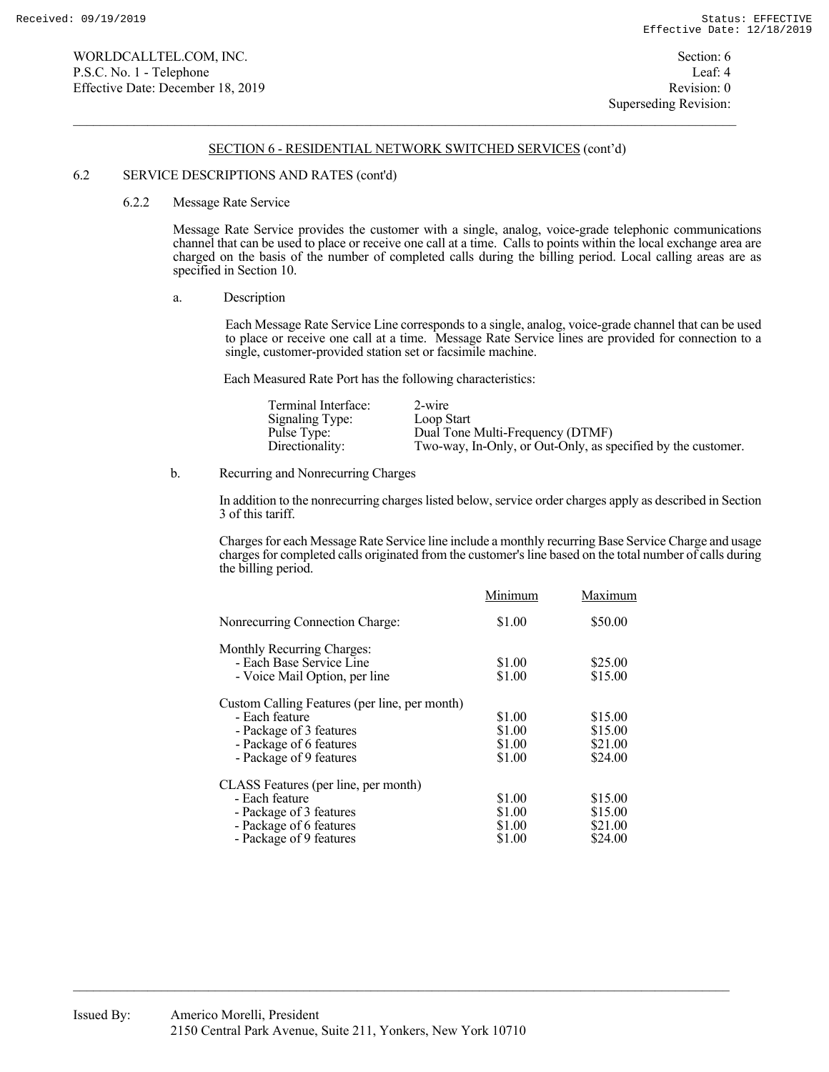#### 6.2 SERVICE DESCRIPTIONS AND RATES (cont'd)

#### 6.2.2 Message Rate Service

 Message Rate Service provides the customer with a single, analog, voice-grade telephonic communications channel that can be used to place or receive one call at a time. Calls to points within the local exchange area are charged on the basis of the number of completed calls during the billing period. Local calling areas are as specified in Section 10.

a. Description

 Each Message Rate Service Line corresponds to a single, analog, voice-grade channel that can be used to place or receive one call at a time. Message Rate Service lines are provided for connection to a single, customer-provided station set or facsimile machine.

Each Measured Rate Port has the following characteristics:

| Terminal Interface: | 2-wire                                                       |
|---------------------|--------------------------------------------------------------|
| Signaling Type:     | Loop Start                                                   |
| Pulse Type:         | Dual Tone Multi-Frequency (DTMF)                             |
| Directionality:     | Two-way, In-Only, or Out-Only, as specified by the customer. |

b. Recurring and Nonrecurring Charges

 In addition to the nonrecurring charges listed below, service order charges apply as described in Section 3 of this tariff.

 Charges for each Message Rate Service line include a monthly recurring Base Service Charge and usage charges for completed calls originated from the customer's line based on the total number of calls during the billing period.

| Maximum |
|---------|
| \$50.00 |
|         |
| \$25.00 |
| \$15.00 |
|         |
| \$15.00 |
| \$15.00 |
| \$21.00 |
| \$24.00 |
|         |
| \$15.00 |
| \$15.00 |
| \$21.00 |
| \$24.00 |
|         |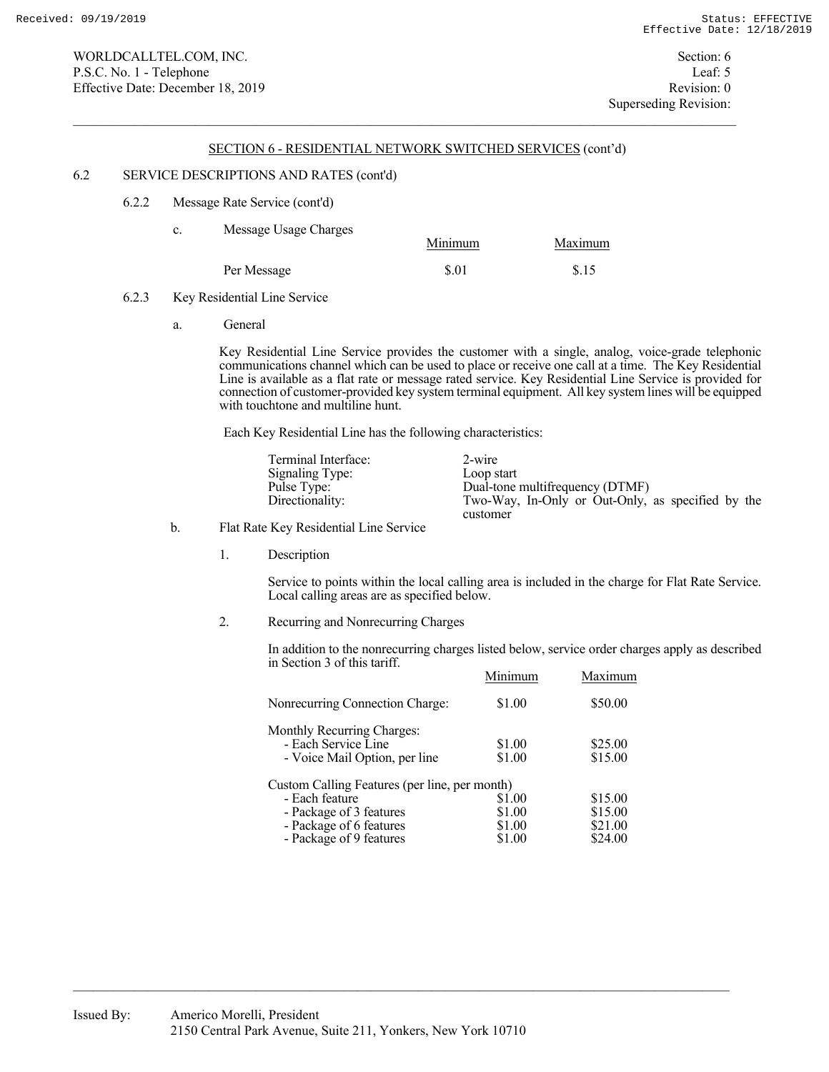#### 6.2 SERVICE DESCRIPTIONS AND RATES (cont'd)

6.2.2 Message Rate Service (cont'd)

| c. | Message Usage Charges | Minimum | Maximum |
|----|-----------------------|---------|---------|
|    | Per Message           | \$.01   | \$.15   |

- 6.2.3 Key Residential Line Service
	- a. General

 Key Residential Line Service provides the customer with a single, analog, voice-grade telephonic communications channel which can be used to place or receive one call at a time. The Key Residential Line is available as a flat rate or message rated service. Key Residential Line Service is provided for connection of customer-provided key system terminal equipment. All key system lines will be equipped with touchtone and multiline hunt.

Each Key Residential Line has the following characteristics:

| Terminal Interface: | 2-wire                                            |
|---------------------|---------------------------------------------------|
| Signaling Type:     | Loop start                                        |
| Pulse Type:         | Dual-tone multifrequency (DTMF)                   |
| Directionality:     | Two-Way, In-Only or Out-Only, as specified by the |
|                     | customer                                          |

## b. Flat Rate Key Residential Line Service

1. Description

 Service to points within the local calling area is included in the charge for Flat Rate Service. Local calling areas are as specified below.

2. Recurring and Nonrecurring Charges

 In addition to the nonrecurring charges listed below, service order charges apply as described in Section 3 of this tariff.

|                                               | Minimum | Maximum |
|-----------------------------------------------|---------|---------|
| Nonrecurring Connection Charge:               | \$1.00  | \$50.00 |
| Monthly Recurring Charges:                    |         |         |
| - Each Service Line                           | \$1.00  | \$25.00 |
| - Voice Mail Option, per line                 | \$1.00  | \$15.00 |
| Custom Calling Features (per line, per month) |         |         |
| - Each feature                                | \$1.00  | \$15.00 |
| - Package of 3 features                       | \$1.00  | \$15.00 |
| - Package of 6 features                       | \$1.00  | \$21.00 |
| - Package of 9 features                       | \$1.00  | \$24.00 |
|                                               |         |         |